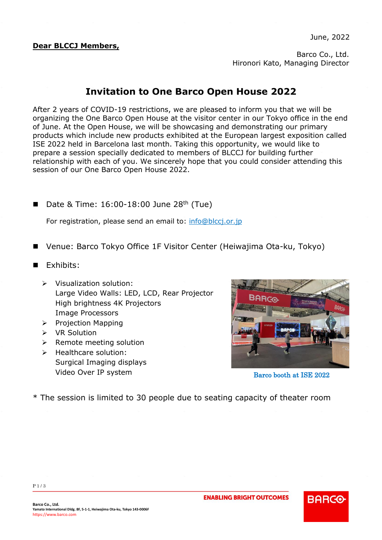#### **Dear BLCCJ Members,**

Barco Co., Ltd. Hironori Kato, Managing Director

#### **Invitation to One Barco Open House 2022**

After 2 years of COVID-19 restrictions, we are pleased to inform you that we will be organizing the One Barco Open House at the visitor center in our Tokyo office in the end of June. At the Open House, we will be showcasing and demonstrating our primary products which include new products exhibited at the European largest exposition called ISE 2022 held in Barcelona last month. Taking this opportunity, we would like to prepare a session specially dedicated to members of BLCCJ for building further relationship with each of you. We sincerely hope that you could consider attending this session of our One Barco Open House 2022.

Date & Time:  $16:00-18:00$  June  $28<sup>th</sup>$  (Tue)

For registration, please send an email to: [info@blccj.or.jp](mailto:info@blccj.or.jp)

- ◼ Venue: Barco Tokyo Office 1F Visitor Center (Heiwajima Ota-ku, Tokyo)
- Exhibits:
	- ➢ Visualization solution: Large Video Walls: LED, LCD, Rear Projector High brightness 4K Projectors Image Processors
	- ➢ Projection Mapping
	- ➢ VR Solution
	- ➢ Remote meeting solution
	- ➢ Healthcare solution: Surgical Imaging displays Video Over IP system



Barco booth at ISE 2022

**BARCO** 

\* The session is limited to 30 people due to seating capacity of theater room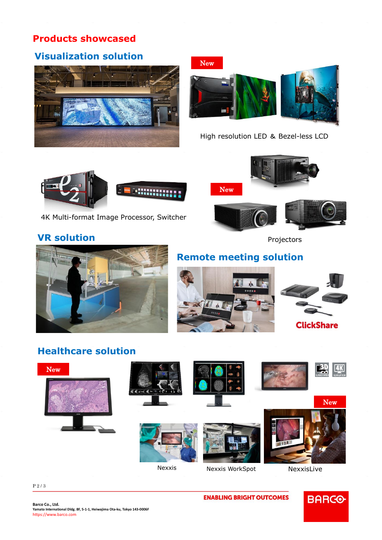### **Products showcased**

# **Visualization solution**





High resolution LED & Bezel-less LCD



4K Multi-format Image Processor, Switcher

## **VR solution**

New



Projectors



# **Remote meeting solution**



## **Healthcare solution**



**BARGO** 

#### P 2 / 3